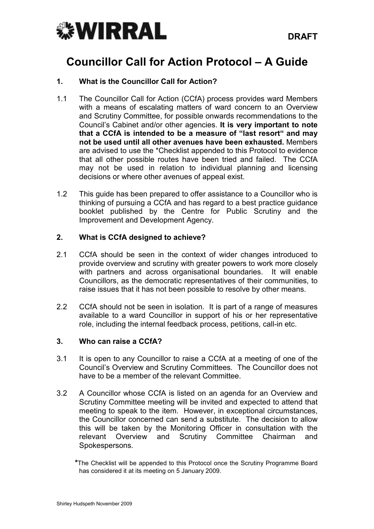

# Councillor Call for Action Protocol – A Guide

## 1. What is the Councillor Call for Action?

- 1.1 The Councillor Call for Action (CCfA) process provides ward Members with a means of escalating matters of ward concern to an Overview and Scrutiny Committee, for possible onwards recommendations to the Council's Cabinet and/or other agencies. It is very important to note that a CCfA is intended to be a measure of "last resort" and may not be used until all other avenues have been exhausted. Members are advised to use the \*Checklist appended to this Protocol to evidence that all other possible routes have been tried and failed. The CCfA may not be used in relation to individual planning and licensing decisions or where other avenues of appeal exist.
- 1.2 This guide has been prepared to offer assistance to a Councillor who is thinking of pursuing a CCfA and has regard to a best practice guidance booklet published by the Centre for Public Scrutiny and the Improvement and Development Agency.

## 2. What is CCfA designed to achieve?

- 2.1 CCfA should be seen in the context of wider changes introduced to provide overview and scrutiny with greater powers to work more closely with partners and across organisational boundaries. It will enable Councillors, as the democratic representatives of their communities, to raise issues that it has not been possible to resolve by other means.
- 2.2 CCfA should not be seen in isolation. It is part of a range of measures available to a ward Councillor in support of his or her representative role, including the internal feedback process, petitions, call-in etc.

## 3. Who can raise a CCfA?

- 3.1 It is open to any Councillor to raise a CCfA at a meeting of one of the Council's Overview and Scrutiny Committees. The Councillor does not have to be a member of the relevant Committee.
- 3.2 A Councillor whose CCfA is listed on an agenda for an Overview and Scrutiny Committee meeting will be invited and expected to attend that meeting to speak to the item. However, in exceptional circumstances, the Councillor concerned can send a substitute. The decision to allow this will be taken by the Monitoring Officer in consultation with the relevant Overview and Scrutiny Committee Chairman and Spokespersons.

 <sup>\*</sup>The Checklist will be appended to this Protocol once the Scrutiny Programme Board has considered it at its meeting on 5 January 2009.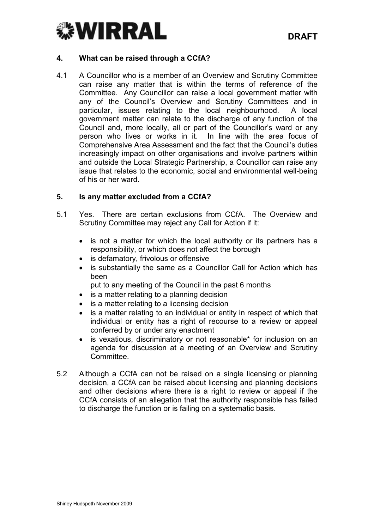

#### 4. What can be raised through a CCfA?

4.1 A Councillor who is a member of an Overview and Scrutiny Committee can raise any matter that is within the terms of reference of the Committee. Any Councillor can raise a local government matter with any of the Council's Overview and Scrutiny Committees and in particular, issues relating to the local neighbourhood. A local government matter can relate to the discharge of any function of the Council and, more locally, all or part of the Councillor's ward or any person who lives or works in it. In line with the area focus of Comprehensive Area Assessment and the fact that the Council's duties increasingly impact on other organisations and involve partners within and outside the Local Strategic Partnership, a Councillor can raise any issue that relates to the economic, social and environmental well-being of his or her ward.

#### 5. Is any matter excluded from a CCfA?

- 5.1 Yes. There are certain exclusions from CCfA. The Overview and Scrutiny Committee may reject any Call for Action if it:
	- is not a matter for which the local authority or its partners has a responsibility, or which does not affect the borough
	- is defamatory, frivolous or offensive
	- is substantially the same as a Councillor Call for Action which has been
	- put to any meeting of the Council in the past 6 months
	- is a matter relating to a planning decision
	- is a matter relating to a licensing decision
	- is a matter relating to an individual or entity in respect of which that individual or entity has a right of recourse to a review or appeal conferred by or under any enactment
	- is vexatious, discriminatory or not reasonable\* for inclusion on an agenda for discussion at a meeting of an Overview and Scrutiny Committee.
- 5.2 Although a CCfA can not be raised on a single licensing or planning decision, a CCfA can be raised about licensing and planning decisions and other decisions where there is a right to review or appeal if the CCfA consists of an allegation that the authority responsible has failed to discharge the function or is failing on a systematic basis.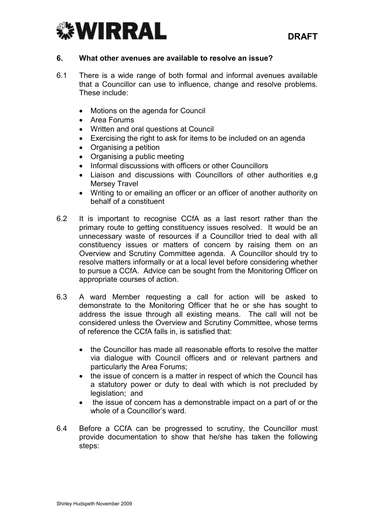

#### 6. What other avenues are available to resolve an issue?

- 6.1 There is a wide range of both formal and informal avenues available that a Councillor can use to influence, change and resolve problems. These include:
	- Motions on the agenda for Council
	- Area Forums
	- Written and oral questions at Council
	- Exercising the right to ask for items to be included on an agenda
	- Organising a petition
	- Organising a public meeting
	- Informal discussions with officers or other Councillors
	- Liaison and discussions with Councillors of other authorities e.g. Mersey Travel
	- Writing to or emailing an officer or an officer of another authority on behalf of a constituent
- 6.2 It is important to recognise CCfA as a last resort rather than the primary route to getting constituency issues resolved. It would be an unnecessary waste of resources if a Councillor tried to deal with all constituency issues or matters of concern by raising them on an Overview and Scrutiny Committee agenda. A Councillor should try to resolve matters informally or at a local level before considering whether to pursue a CCfA. Advice can be sought from the Monitoring Officer on appropriate courses of action.
- 6.3 A ward Member requesting a call for action will be asked to demonstrate to the Monitoring Officer that he or she has sought to address the issue through all existing means. The call will not be considered unless the Overview and Scrutiny Committee, whose terms of reference the CCfA falls in, is satisfied that:
	- the Councillor has made all reasonable efforts to resolve the matter via dialogue with Council officers and or relevant partners and particularly the Area Forums;
	- the issue of concern is a matter in respect of which the Council has a statutory power or duty to deal with which is not precluded by legislation; and
	- the issue of concern has a demonstrable impact on a part of or the whole of a Councillor's ward.
- 6.4 Before a CCfA can be progressed to scrutiny, the Councillor must provide documentation to show that he/she has taken the following steps: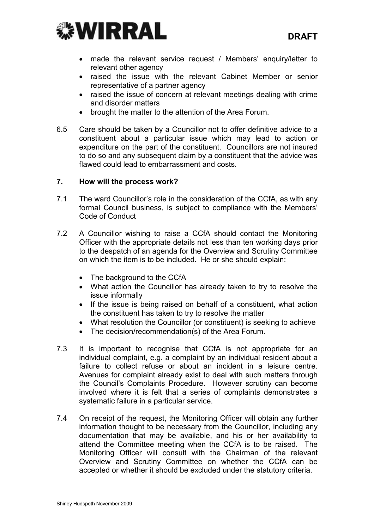

- made the relevant service request / Members' enquiry/letter to relevant other agency
- raised the issue with the relevant Cabinet Member or senior representative of a partner agency
- raised the issue of concern at relevant meetings dealing with crime and disorder matters
- brought the matter to the attention of the Area Forum.
- 6.5 Care should be taken by a Councillor not to offer definitive advice to a constituent about a particular issue which may lead to action or expenditure on the part of the constituent. Councillors are not insured to do so and any subsequent claim by a constituent that the advice was flawed could lead to embarrassment and costs.

#### 7. How will the process work?

- 7.1 The ward Councillor's role in the consideration of the CCfA, as with any formal Council business, is subject to compliance with the Members' Code of Conduct
- 7.2 A Councillor wishing to raise a CCfA should contact the Monitoring Officer with the appropriate details not less than ten working days prior to the despatch of an agenda for the Overview and Scrutiny Committee on which the item is to be included. He or she should explain:
	- The background to the CCfA
	- What action the Councillor has already taken to try to resolve the issue informally
	- If the issue is being raised on behalf of a constituent, what action the constituent has taken to try to resolve the matter
	- What resolution the Councillor (or constituent) is seeking to achieve
	- The decision/recommendation(s) of the Area Forum.
- 7.3 It is important to recognise that CCfA is not appropriate for an individual complaint, e.g. a complaint by an individual resident about a failure to collect refuse or about an incident in a leisure centre. Avenues for complaint already exist to deal with such matters through the Council's Complaints Procedure. However scrutiny can become involved where it is felt that a series of complaints demonstrates a systematic failure in a particular service.
- 7.4 On receipt of the request, the Monitoring Officer will obtain any further information thought to be necessary from the Councillor, including any documentation that may be available, and his or her availability to attend the Committee meeting when the CCfA is to be raised. The Monitoring Officer will consult with the Chairman of the relevant Overview and Scrutiny Committee on whether the CCfA can be accepted or whether it should be excluded under the statutory criteria.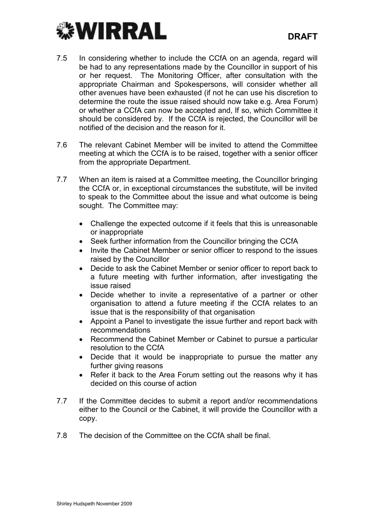

- 7.5 In considering whether to include the CCfA on an agenda, regard will be had to any representations made by the Councillor in support of his or her request. The Monitoring Officer, after consultation with the appropriate Chairman and Spokespersons, will consider whether all other avenues have been exhausted (if not he can use his discretion to determine the route the issue raised should now take e.g. Area Forum) or whether a CCfA can now be accepted and, If so, which Committee it should be considered by. If the CCfA is rejected, the Councillor will be notified of the decision and the reason for it.
- 7.6 The relevant Cabinet Member will be invited to attend the Committee meeting at which the CCfA is to be raised, together with a senior officer from the appropriate Department.
- 7.7 When an item is raised at a Committee meeting, the Councillor bringing the CCfA or, in exceptional circumstances the substitute, will be invited to speak to the Committee about the issue and what outcome is being sought. The Committee may:
	- Challenge the expected outcome if it feels that this is unreasonable or inappropriate
	- Seek further information from the Councillor bringing the CCfA
	- Invite the Cabinet Member or senior officer to respond to the issues raised by the Councillor
	- Decide to ask the Cabinet Member or senior officer to report back to a future meeting with further information, after investigating the issue raised
	- Decide whether to invite a representative of a partner or other organisation to attend a future meeting if the CCfA relates to an issue that is the responsibility of that organisation
	- Appoint a Panel to investigate the issue further and report back with recommendations
	- Recommend the Cabinet Member or Cabinet to pursue a particular resolution to the CCfA
	- Decide that it would be inappropriate to pursue the matter any further giving reasons
	- Refer it back to the Area Forum setting out the reasons why it has decided on this course of action
- 7.7 If the Committee decides to submit a report and/or recommendations either to the Council or the Cabinet, it will provide the Councillor with a copy.
- 7.8 The decision of the Committee on the CCfA shall be final.